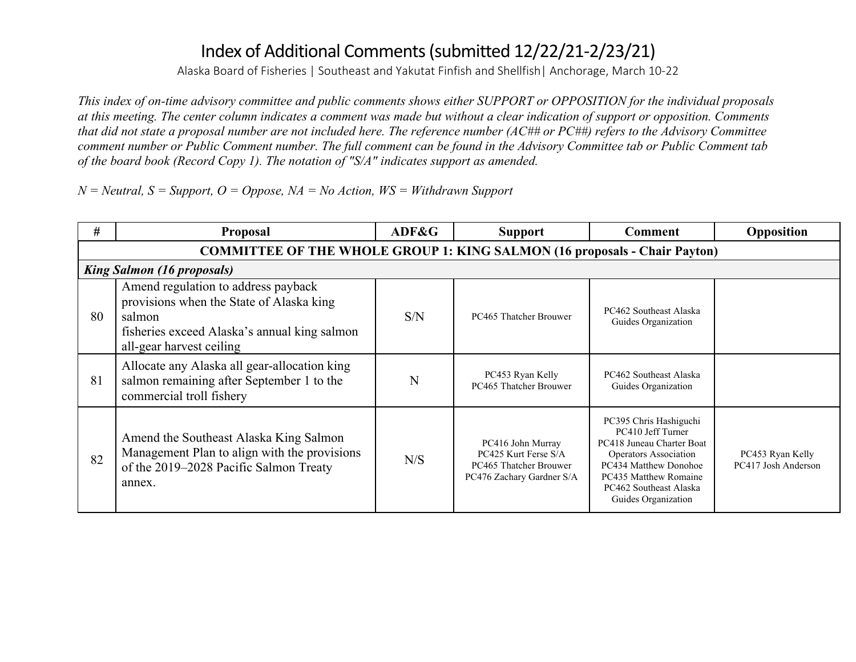Alaska Board of Fisheries | Southeast and Yakutat Finfish and Shellfish| Anchorage, March 10-22

*This index of on-time advisory committee and public comments shows either SUPPORT or OPPOSITION for the individual proposals at this meeting. The center column indicates a comment was made but without a clear indication of support or opposition. Comments that did not state a proposal number are not included here. The reference number (AC## or PC##) refers to the Advisory Committee comment number or Public Comment number. The full comment can be found in the Advisory Committee tab or Public Comment tab of the board book (Record Copy 1). The notation of "S/A" indicates support as amended.*

*N = Neutral, S = Support, O = Oppose, NA = No Action, WS = Withdrawn Support*

| #  | <b>Proposal</b>                                                                                                                                                       | ADF&G | <b>Support</b>                                                                                   | Comment                                                                                                                                                                                              | Opposition                              |  |  |  |  |  |
|----|-----------------------------------------------------------------------------------------------------------------------------------------------------------------------|-------|--------------------------------------------------------------------------------------------------|------------------------------------------------------------------------------------------------------------------------------------------------------------------------------------------------------|-----------------------------------------|--|--|--|--|--|
|    | <b>COMMITTEE OF THE WHOLE GROUP 1: KING SALMON (16 proposals - Chair Payton)</b>                                                                                      |       |                                                                                                  |                                                                                                                                                                                                      |                                         |  |  |  |  |  |
|    | <b>King Salmon (16 proposals)</b>                                                                                                                                     |       |                                                                                                  |                                                                                                                                                                                                      |                                         |  |  |  |  |  |
| 80 | Amend regulation to address payback<br>provisions when the State of Alaska king<br>salmon<br>fisheries exceed Alaska's annual king salmon<br>all-gear harvest ceiling | S/N   | PC465 Thatcher Brouwer                                                                           | PC462 Southeast Alaska<br>Guides Organization                                                                                                                                                        |                                         |  |  |  |  |  |
| 81 | Allocate any Alaska all gear-allocation king<br>salmon remaining after September 1 to the<br>commercial troll fishery                                                 | N     | PC453 Ryan Kelly<br>PC465 Thatcher Brouwer                                                       | PC462 Southeast Alaska<br>Guides Organization                                                                                                                                                        |                                         |  |  |  |  |  |
| 82 | Amend the Southeast Alaska King Salmon<br>Management Plan to align with the provisions<br>of the 2019-2028 Pacific Salmon Treaty<br>annex.                            | N/S   | PC416 John Murray<br>PC425 Kurt Ferse S/A<br>PC465 Thatcher Brouwer<br>PC476 Zachary Gardner S/A | PC395 Chris Hashiguchi<br>PC410 Jeff Turner<br>PC418 Juneau Charter Boat<br>Operators Association<br>PC434 Matthew Donohoe<br>PC435 Matthew Romaine<br>PC462 Southeast Alaska<br>Guides Organization | PC453 Ryan Kelly<br>PC417 Josh Anderson |  |  |  |  |  |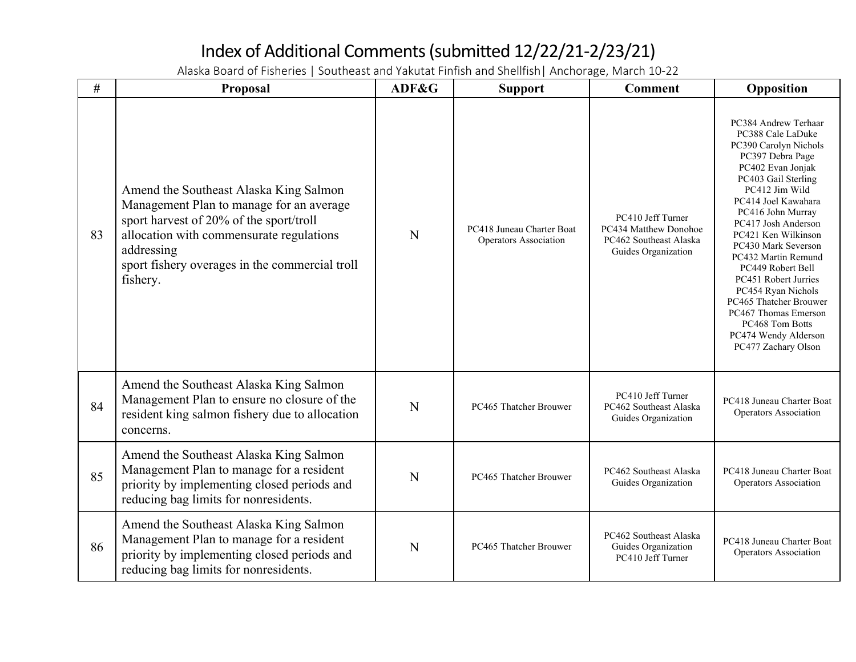| #  | Proposal                                                                                                                                                                                                                                              | ADF&G | <b>Support</b>                                     | <b>Comment</b>                                                                              | Opposition                                                                                                                                                                                                                                                                                                                                                                                                                                                                                 |
|----|-------------------------------------------------------------------------------------------------------------------------------------------------------------------------------------------------------------------------------------------------------|-------|----------------------------------------------------|---------------------------------------------------------------------------------------------|--------------------------------------------------------------------------------------------------------------------------------------------------------------------------------------------------------------------------------------------------------------------------------------------------------------------------------------------------------------------------------------------------------------------------------------------------------------------------------------------|
| 83 | Amend the Southeast Alaska King Salmon<br>Management Plan to manage for an average<br>sport harvest of 20% of the sport/troll<br>allocation with commensurate regulations<br>addressing<br>sport fishery overages in the commercial troll<br>fishery. | N     | PC418 Juneau Charter Boat<br>Operators Association | PC410 Jeff Turner<br>PC434 Matthew Donohoe<br>PC462 Southeast Alaska<br>Guides Organization | PC384 Andrew Terhaar<br>PC388 Cale LaDuke<br>PC390 Carolyn Nichols<br>PC397 Debra Page<br>PC402 Evan Jonjak<br>PC403 Gail Sterling<br>PC412 Jim Wild<br>PC414 Joel Kawahara<br>PC416 John Murray<br>PC417 Josh Anderson<br>PC421 Ken Wilkinson<br>PC430 Mark Severson<br>PC432 Martin Remund<br>PC449 Robert Bell<br><b>PC451 Robert Jurries</b><br>PC454 Ryan Nichols<br>PC465 Thatcher Brouwer<br>PC467 Thomas Emerson<br>PC468 Tom Botts<br>PC474 Wendy Alderson<br>PC477 Zachary Olson |
| 84 | Amend the Southeast Alaska King Salmon<br>Management Plan to ensure no closure of the<br>resident king salmon fishery due to allocation<br>concerns.                                                                                                  | N     | PC465 Thatcher Brouwer                             | PC410 Jeff Turner<br>PC462 Southeast Alaska<br>Guides Organization                          | PC418 Juneau Charter Boat<br>Operators Association                                                                                                                                                                                                                                                                                                                                                                                                                                         |
| 85 | Amend the Southeast Alaska King Salmon<br>Management Plan to manage for a resident<br>priority by implementing closed periods and<br>reducing bag limits for nonresidents.                                                                            | N     | PC465 Thatcher Brouwer                             | PC462 Southeast Alaska<br>Guides Organization                                               | PC418 Juneau Charter Boat<br>Operators Association                                                                                                                                                                                                                                                                                                                                                                                                                                         |
| 86 | Amend the Southeast Alaska King Salmon<br>Management Plan to manage for a resident<br>priority by implementing closed periods and<br>reducing bag limits for nonresidents.                                                                            | N     | PC465 Thatcher Brouwer                             | PC462 Southeast Alaska<br>Guides Organization<br>PC410 Jeff Turner                          | PC418 Juneau Charter Boat<br>Operators Association                                                                                                                                                                                                                                                                                                                                                                                                                                         |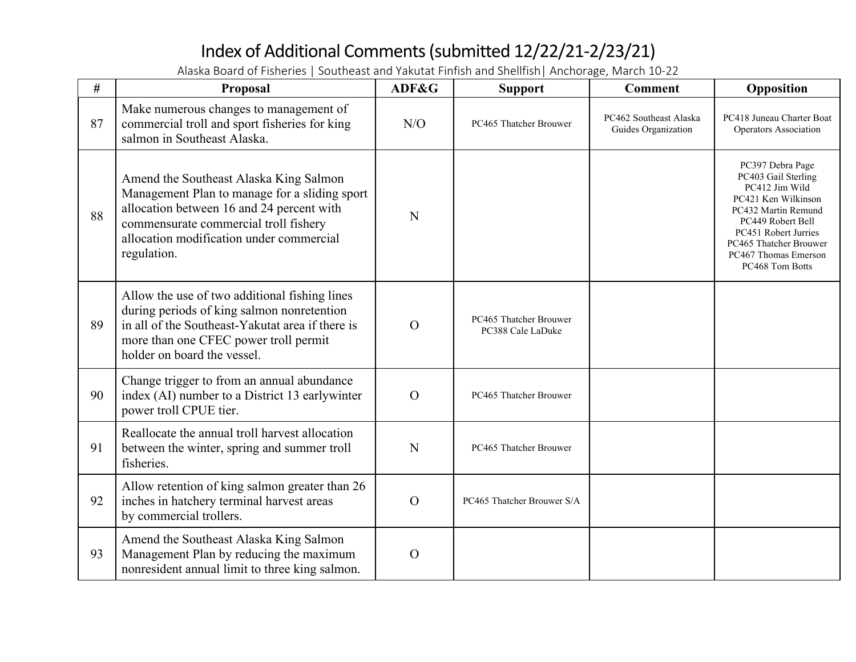| #  | Proposal                                                                                                                                                                                                                                 | ADF&G          | <b>Support</b>                              | <b>Comment</b>                                | Opposition                                                                                                                                                                                                                |
|----|------------------------------------------------------------------------------------------------------------------------------------------------------------------------------------------------------------------------------------------|----------------|---------------------------------------------|-----------------------------------------------|---------------------------------------------------------------------------------------------------------------------------------------------------------------------------------------------------------------------------|
| 87 | Make numerous changes to management of<br>commercial troll and sport fisheries for king<br>salmon in Southeast Alaska.                                                                                                                   | N/O            | PC465 Thatcher Brouwer                      | PC462 Southeast Alaska<br>Guides Organization | PC418 Juneau Charter Boat<br>Operators Association                                                                                                                                                                        |
| 88 | Amend the Southeast Alaska King Salmon<br>Management Plan to manage for a sliding sport<br>allocation between 16 and 24 percent with<br>commensurate commercial troll fishery<br>allocation modification under commercial<br>regulation. | N              |                                             |                                               | PC397 Debra Page<br>PC403 Gail Sterling<br>PC412 Jim Wild<br>PC421 Ken Wilkinson<br>PC432 Martin Remund<br>PC449 Robert Bell<br>PC451 Robert Jurries<br>PC465 Thatcher Brouwer<br>PC467 Thomas Emerson<br>PC468 Tom Botts |
| 89 | Allow the use of two additional fishing lines<br>during periods of king salmon nonretention<br>in all of the Southeast-Yakutat area if there is<br>more than one CFEC power troll permit<br>holder on board the vessel.                  | $\overline{O}$ | PC465 Thatcher Brouwer<br>PC388 Cale LaDuke |                                               |                                                                                                                                                                                                                           |
| 90 | Change trigger to from an annual abundance<br>index (AI) number to a District 13 earlywinter<br>power troll CPUE tier.                                                                                                                   | $\overline{O}$ | PC465 Thatcher Brouwer                      |                                               |                                                                                                                                                                                                                           |
| 91 | Reallocate the annual troll harvest allocation<br>between the winter, spring and summer troll<br>fisheries.                                                                                                                              | N              | PC465 Thatcher Brouwer                      |                                               |                                                                                                                                                                                                                           |
| 92 | Allow retention of king salmon greater than 26<br>inches in hatchery terminal harvest areas<br>by commercial trollers.                                                                                                                   | $\mathcal{O}$  | PC465 Thatcher Brouwer S/A                  |                                               |                                                                                                                                                                                                                           |
| 93 | Amend the Southeast Alaska King Salmon<br>Management Plan by reducing the maximum<br>nonresident annual limit to three king salmon.                                                                                                      | $\mathbf O$    |                                             |                                               |                                                                                                                                                                                                                           |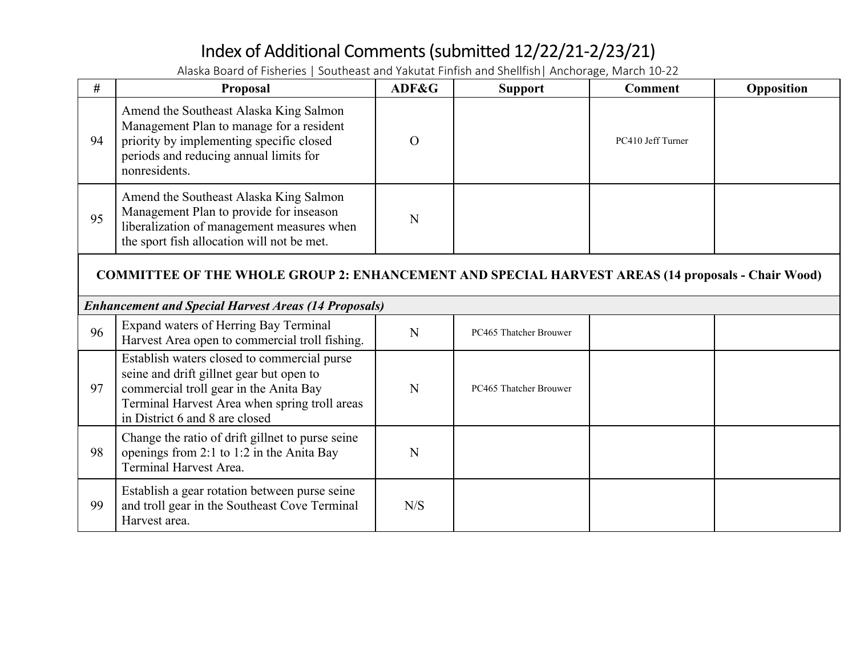| #                                                                                                        | Proposal                                                                                                                                                                                                             | ADF&G    | <b>Support</b>         | <b>Comment</b>    | Opposition |  |  |  |
|----------------------------------------------------------------------------------------------------------|----------------------------------------------------------------------------------------------------------------------------------------------------------------------------------------------------------------------|----------|------------------------|-------------------|------------|--|--|--|
| 94                                                                                                       | Amend the Southeast Alaska King Salmon<br>Management Plan to manage for a resident<br>priority by implementing specific closed<br>periods and reducing annual limits for<br>nonresidents.                            | $\Omega$ |                        | PC410 Jeff Turner |            |  |  |  |
| 95                                                                                                       | Amend the Southeast Alaska King Salmon<br>Management Plan to provide for inseason<br>liberalization of management measures when<br>the sport fish allocation will not be met.                                        | N        |                        |                   |            |  |  |  |
| <b>COMMITTEE OF THE WHOLE GROUP 2: ENHANCEMENT AND SPECIAL HARVEST AREAS (14 proposals - Chair Wood)</b> |                                                                                                                                                                                                                      |          |                        |                   |            |  |  |  |
|                                                                                                          | <b>Enhancement and Special Harvest Areas (14 Proposals)</b>                                                                                                                                                          |          |                        |                   |            |  |  |  |
| 96                                                                                                       | Expand waters of Herring Bay Terminal<br>Harvest Area open to commercial troll fishing.                                                                                                                              | N        | PC465 Thatcher Brouwer |                   |            |  |  |  |
| 97                                                                                                       | Establish waters closed to commercial purse<br>seine and drift gillnet gear but open to<br>commercial troll gear in the Anita Bay<br>Terminal Harvest Area when spring troll areas<br>in District 6 and 8 are closed | N        | PC465 Thatcher Brouwer |                   |            |  |  |  |
| 98                                                                                                       | Change the ratio of drift gillnet to purse seine<br>openings from 2:1 to 1:2 in the Anita Bay<br><b>Terminal Harvest Area.</b>                                                                                       | N        |                        |                   |            |  |  |  |
| 99                                                                                                       | Establish a gear rotation between purse seine<br>and troll gear in the Southeast Cove Terminal<br>Harvest area.                                                                                                      | N/S      |                        |                   |            |  |  |  |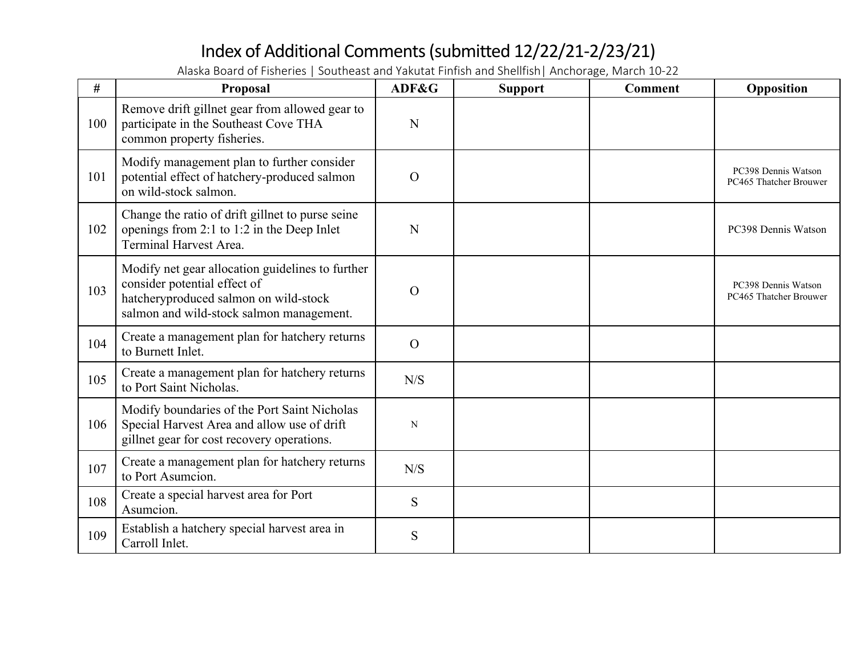| #   | Proposal                                                                                                                                                              | ADF&G          | <b>Support</b> | <b>Comment</b> | Opposition                                    |
|-----|-----------------------------------------------------------------------------------------------------------------------------------------------------------------------|----------------|----------------|----------------|-----------------------------------------------|
| 100 | Remove drift gillnet gear from allowed gear to<br>participate in the Southeast Cove THA<br>common property fisheries.                                                 | N              |                |                |                                               |
| 101 | Modify management plan to further consider<br>potential effect of hatchery-produced salmon<br>on wild-stock salmon.                                                   | $\Omega$       |                |                | PC398 Dennis Watson<br>PC465 Thatcher Brouwer |
| 102 | Change the ratio of drift gillnet to purse seine<br>openings from 2:1 to 1:2 in the Deep Inlet<br>Terminal Harvest Area.                                              | N              |                |                | PC398 Dennis Watson                           |
| 103 | Modify net gear allocation guidelines to further<br>consider potential effect of<br>hatcheryproduced salmon on wild-stock<br>salmon and wild-stock salmon management. | $\Omega$       |                |                | PC398 Dennis Watson<br>PC465 Thatcher Brouwer |
| 104 | Create a management plan for hatchery returns<br>to Burnett Inlet.                                                                                                    | $\overline{O}$ |                |                |                                               |
| 105 | Create a management plan for hatchery returns<br>to Port Saint Nicholas.                                                                                              | N/S            |                |                |                                               |
| 106 | Modify boundaries of the Port Saint Nicholas<br>Special Harvest Area and allow use of drift<br>gillnet gear for cost recovery operations.                             | N              |                |                |                                               |
| 107 | Create a management plan for hatchery returns<br>to Port Asumcion.                                                                                                    | N/S            |                |                |                                               |
| 108 | Create a special harvest area for Port<br>Asumcion.                                                                                                                   | S              |                |                |                                               |
| 109 | Establish a hatchery special harvest area in<br>Carroll Inlet.                                                                                                        | S              |                |                |                                               |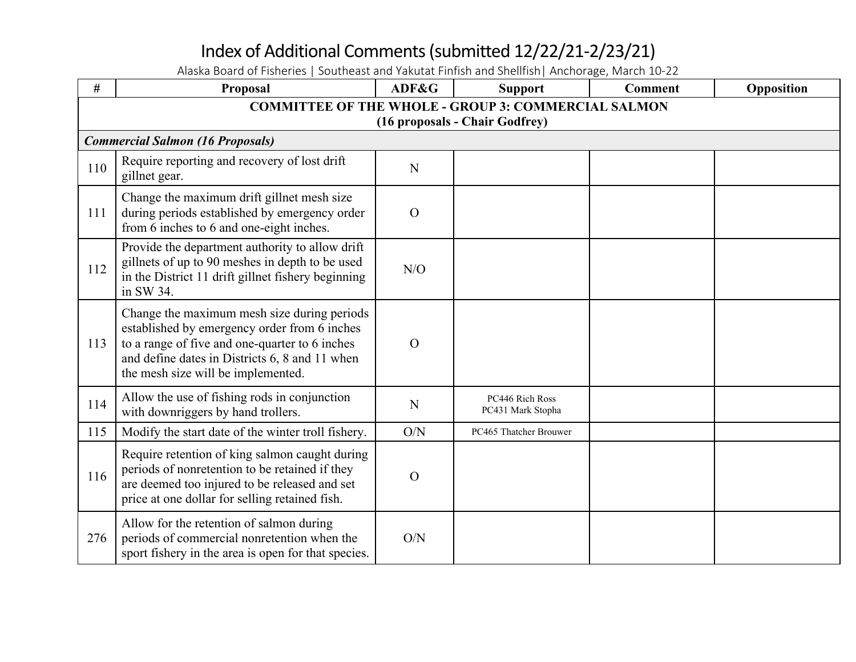| #   | Proposal                                                                                                                                                                                                                              | ADF&G         | <b>Support</b>                       | <b>Comment</b> | Opposition |  |  |  |  |
|-----|---------------------------------------------------------------------------------------------------------------------------------------------------------------------------------------------------------------------------------------|---------------|--------------------------------------|----------------|------------|--|--|--|--|
|     | <b>COMMITTEE OF THE WHOLE - GROUP 3: COMMERCIAL SALMON</b>                                                                                                                                                                            |               |                                      |                |            |  |  |  |  |
|     |                                                                                                                                                                                                                                       |               | (16 proposals - Chair Godfrey)       |                |            |  |  |  |  |
|     | <b>Commercial Salmon (16 Proposals)</b>                                                                                                                                                                                               |               |                                      |                |            |  |  |  |  |
| 110 | Require reporting and recovery of lost drift<br>gillnet gear.                                                                                                                                                                         | ${\bf N}$     |                                      |                |            |  |  |  |  |
| 111 | Change the maximum drift gillnet mesh size<br>during periods established by emergency order<br>from 6 inches to 6 and one-eight inches.                                                                                               | $\mathbf{O}$  |                                      |                |            |  |  |  |  |
| 112 | Provide the department authority to allow drift<br>gillnets of up to 90 meshes in depth to be used<br>in the District 11 drift gillnet fishery beginning<br>in SW 34.                                                                 | N/O           |                                      |                |            |  |  |  |  |
| 113 | Change the maximum mesh size during periods<br>established by emergency order from 6 inches<br>to a range of five and one-quarter to 6 inches<br>and define dates in Districts 6, 8 and 11 when<br>the mesh size will be implemented. | $\mathcal{O}$ |                                      |                |            |  |  |  |  |
| 114 | Allow the use of fishing rods in conjunction<br>with downriggers by hand trollers.                                                                                                                                                    | $\mathbf N$   | PC446 Rich Ross<br>PC431 Mark Stopha |                |            |  |  |  |  |
| 115 | Modify the start date of the winter troll fishery.                                                                                                                                                                                    | O/N           | PC465 Thatcher Brouwer               |                |            |  |  |  |  |
| 116 | Require retention of king salmon caught during<br>periods of nonretention to be retained if they<br>are deemed too injured to be released and set<br>price at one dollar for selling retained fish.                                   | $\mathbf O$   |                                      |                |            |  |  |  |  |
| 276 | Allow for the retention of salmon during<br>periods of commercial nonretention when the<br>sport fishery in the area is open for that species.                                                                                        | O/N           |                                      |                |            |  |  |  |  |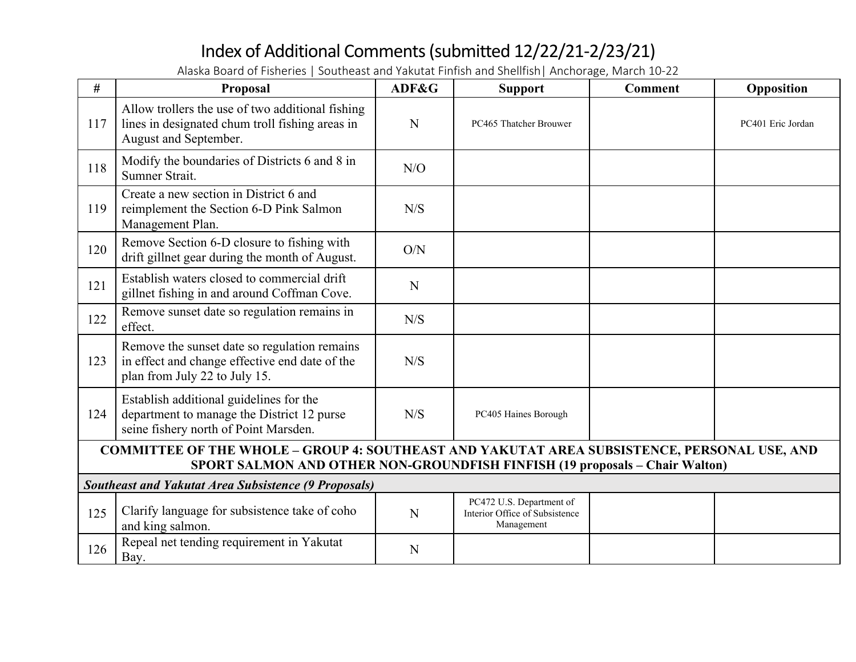| #   | Proposal                                                                                                                                                                   | ADF&G | <b>Support</b>                                                           | <b>Comment</b> | Opposition        |  |  |  |  |
|-----|----------------------------------------------------------------------------------------------------------------------------------------------------------------------------|-------|--------------------------------------------------------------------------|----------------|-------------------|--|--|--|--|
| 117 | Allow trollers the use of two additional fishing<br>lines in designated chum troll fishing areas in<br>August and September.                                               | N     | PC465 Thatcher Brouwer                                                   |                | PC401 Eric Jordan |  |  |  |  |
| 118 | Modify the boundaries of Districts 6 and 8 in<br>Sumner Strait.                                                                                                            | N/O   |                                                                          |                |                   |  |  |  |  |
| 119 | Create a new section in District 6 and<br>reimplement the Section 6-D Pink Salmon<br>Management Plan.                                                                      | N/S   |                                                                          |                |                   |  |  |  |  |
| 120 | Remove Section 6-D closure to fishing with<br>drift gillnet gear during the month of August.                                                                               | O/N   |                                                                          |                |                   |  |  |  |  |
| 121 | Establish waters closed to commercial drift<br>gillnet fishing in and around Coffman Cove.                                                                                 | N     |                                                                          |                |                   |  |  |  |  |
| 122 | Remove sunset date so regulation remains in<br>effect.                                                                                                                     | N/S   |                                                                          |                |                   |  |  |  |  |
| 123 | Remove the sunset date so regulation remains<br>in effect and change effective end date of the<br>plan from July 22 to July 15.                                            | N/S   |                                                                          |                |                   |  |  |  |  |
| 124 | Establish additional guidelines for the<br>department to manage the District 12 purse<br>seine fishery north of Point Marsden.                                             | N/S   | PC405 Haines Borough                                                     |                |                   |  |  |  |  |
|     | COMMITTEE OF THE WHOLE - GROUP 4: SOUTHEAST AND YAKUTAT AREA SUBSISTENCE, PERSONAL USE, AND<br>SPORT SALMON AND OTHER NON-GROUNDFISH FINFISH (19 proposals - Chair Walton) |       |                                                                          |                |                   |  |  |  |  |
|     | <b>Southeast and Yakutat Area Subsistence (9 Proposals)</b>                                                                                                                |       |                                                                          |                |                   |  |  |  |  |
| 125 | Clarify language for subsistence take of coho<br>and king salmon.                                                                                                          | N     | PC472 U.S. Department of<br>Interior Office of Subsistence<br>Management |                |                   |  |  |  |  |
| 126 | Repeal net tending requirement in Yakutat<br>Bay.                                                                                                                          | N     |                                                                          |                |                   |  |  |  |  |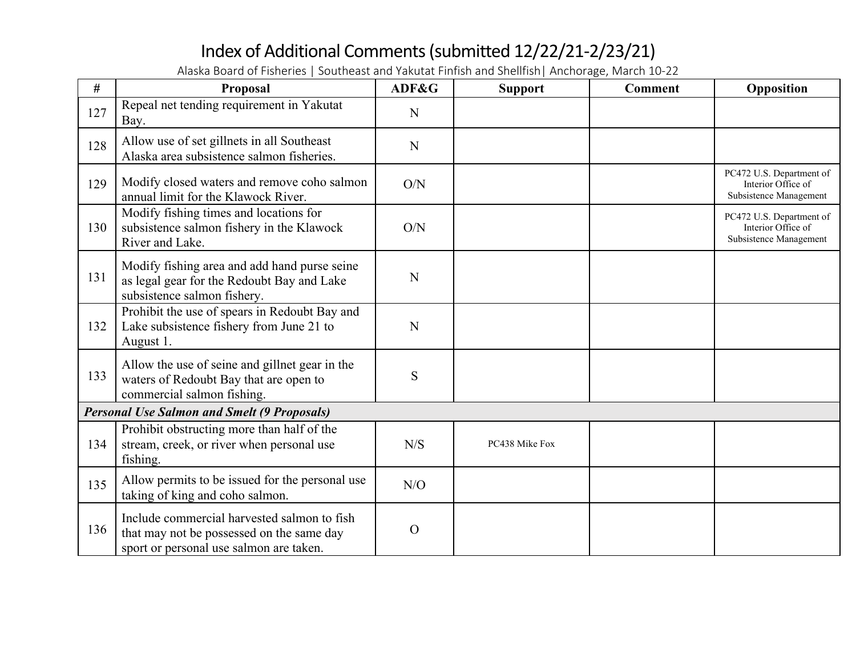| #   | Proposal                                                                                                                            | ADF&G    | <b>Support</b> | <b>Comment</b> | Opposition                                                               |
|-----|-------------------------------------------------------------------------------------------------------------------------------------|----------|----------------|----------------|--------------------------------------------------------------------------|
| 127 | Repeal net tending requirement in Yakutat<br>Bay.                                                                                   | N        |                |                |                                                                          |
| 128 | Allow use of set gillnets in all Southeast<br>Alaska area subsistence salmon fisheries.                                             | N        |                |                |                                                                          |
| 129 | Modify closed waters and remove coho salmon<br>annual limit for the Klawock River.                                                  | O/N      |                |                | PC472 U.S. Department of<br>Interior Office of<br>Subsistence Management |
| 130 | Modify fishing times and locations for<br>subsistence salmon fishery in the Klawock<br>River and Lake.                              | O/N      |                |                | PC472 U.S. Department of<br>Interior Office of<br>Subsistence Management |
| 131 | Modify fishing area and add hand purse seine<br>as legal gear for the Redoubt Bay and Lake<br>subsistence salmon fishery.           | N        |                |                |                                                                          |
| 132 | Prohibit the use of spears in Redoubt Bay and<br>Lake subsistence fishery from June 21 to<br>August 1.                              | N        |                |                |                                                                          |
| 133 | Allow the use of seine and gillnet gear in the<br>waters of Redoubt Bay that are open to<br>commercial salmon fishing.              | S        |                |                |                                                                          |
|     | <b>Personal Use Salmon and Smelt (9 Proposals)</b>                                                                                  |          |                |                |                                                                          |
| 134 | Prohibit obstructing more than half of the<br>stream, creek, or river when personal use<br>fishing.                                 | N/S      | PC438 Mike Fox |                |                                                                          |
| 135 | Allow permits to be issued for the personal use<br>taking of king and coho salmon.                                                  | N/O      |                |                |                                                                          |
| 136 | Include commercial harvested salmon to fish<br>that may not be possessed on the same day<br>sport or personal use salmon are taken. | $\Omega$ |                |                |                                                                          |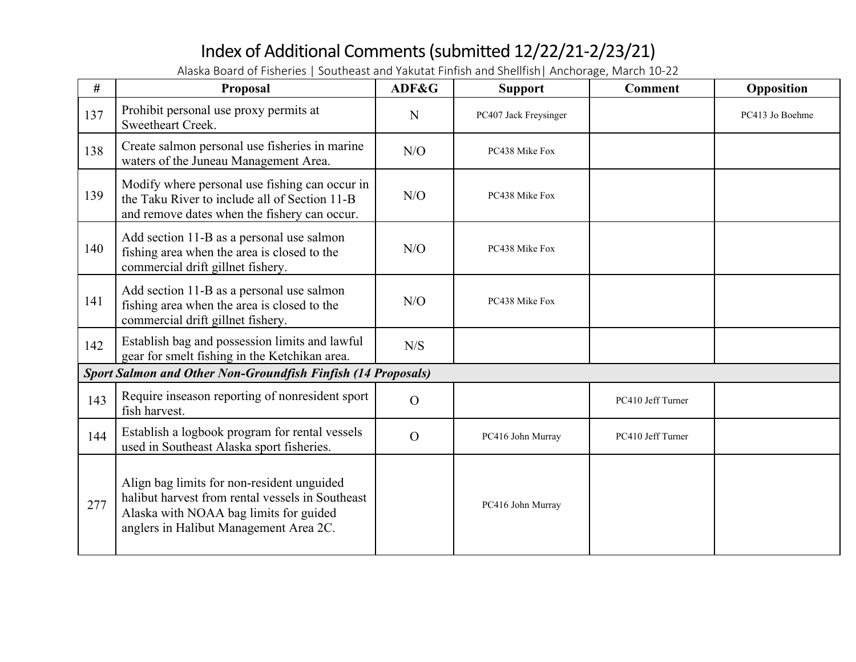| #   | Proposal                                                                                                                                                                           | ADF&G          | <b>Support</b>        | <b>Comment</b>    | Opposition      |
|-----|------------------------------------------------------------------------------------------------------------------------------------------------------------------------------------|----------------|-----------------------|-------------------|-----------------|
| 137 | Prohibit personal use proxy permits at<br>Sweetheart Creek.                                                                                                                        | N              | PC407 Jack Freysinger |                   | PC413 Jo Boehme |
| 138 | Create salmon personal use fisheries in marine<br>waters of the Juneau Management Area.                                                                                            | N/O            | PC438 Mike Fox        |                   |                 |
| 139 | Modify where personal use fishing can occur in<br>the Taku River to include all of Section 11-B<br>and remove dates when the fishery can occur.                                    | N/O            | PC438 Mike Fox        |                   |                 |
| 140 | Add section 11-B as a personal use salmon<br>fishing area when the area is closed to the<br>commercial drift gillnet fishery.                                                      | N/O            | PC438 Mike Fox        |                   |                 |
| 141 | Add section 11-B as a personal use salmon<br>fishing area when the area is closed to the<br>commercial drift gillnet fishery.                                                      | N/O            | PC438 Mike Fox        |                   |                 |
| 142 | Establish bag and possession limits and lawful<br>gear for smelt fishing in the Ketchikan area.                                                                                    | N/S            |                       |                   |                 |
|     | <b>Sport Salmon and Other Non-Groundfish Finfish (14 Proposals)</b>                                                                                                                |                |                       |                   |                 |
| 143 | Require inseason reporting of nonresident sport<br>fish harvest.                                                                                                                   | $\overline{O}$ |                       | PC410 Jeff Turner |                 |
| 144 | Establish a logbook program for rental vessels<br>used in Southeast Alaska sport fisheries.                                                                                        | $\overline{O}$ | PC416 John Murray     | PC410 Jeff Turner |                 |
| 277 | Align bag limits for non-resident unguided<br>halibut harvest from rental vessels in Southeast<br>Alaska with NOAA bag limits for guided<br>anglers in Halibut Management Area 2C. |                | PC416 John Murray     |                   |                 |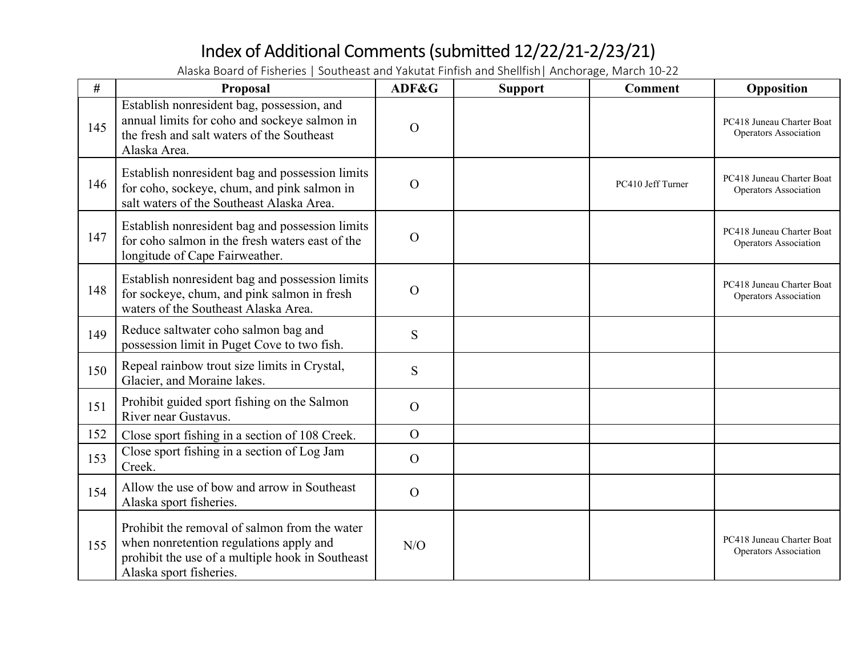| #   | Proposal                                                                                                                                                                | ADF&G          | <b>Support</b> | <b>Comment</b>    | Opposition                                         |
|-----|-------------------------------------------------------------------------------------------------------------------------------------------------------------------------|----------------|----------------|-------------------|----------------------------------------------------|
| 145 | Establish nonresident bag, possession, and<br>annual limits for coho and sockeye salmon in<br>the fresh and salt waters of the Southeast<br>Alaska Area.                | $\mathcal{O}$  |                |                   | PC418 Juneau Charter Boat<br>Operators Association |
| 146 | Establish nonresident bag and possession limits<br>for coho, sockeye, chum, and pink salmon in<br>salt waters of the Southeast Alaska Area.                             | $\mathcal{O}$  |                | PC410 Jeff Turner | PC418 Juneau Charter Boat<br>Operators Association |
| 147 | Establish nonresident bag and possession limits<br>for coho salmon in the fresh waters east of the<br>longitude of Cape Fairweather.                                    | $\mathbf O$    |                |                   | PC418 Juneau Charter Boat<br>Operators Association |
| 148 | Establish nonresident bag and possession limits<br>for sockeye, chum, and pink salmon in fresh<br>waters of the Southeast Alaska Area.                                  | $\mathcal{O}$  |                |                   | PC418 Juneau Charter Boat<br>Operators Association |
| 149 | Reduce saltwater coho salmon bag and<br>possession limit in Puget Cove to two fish.                                                                                     | S              |                |                   |                                                    |
| 150 | Repeal rainbow trout size limits in Crystal,<br>Glacier, and Moraine lakes.                                                                                             | S              |                |                   |                                                    |
| 151 | Prohibit guided sport fishing on the Salmon<br>River near Gustavus.                                                                                                     | $\mathcal{O}$  |                |                   |                                                    |
| 152 | Close sport fishing in a section of 108 Creek.                                                                                                                          | $\overline{O}$ |                |                   |                                                    |
| 153 | Close sport fishing in a section of Log Jam<br>Creek.                                                                                                                   | $\Omega$       |                |                   |                                                    |
| 154 | Allow the use of bow and arrow in Southeast<br>Alaska sport fisheries.                                                                                                  | $\Omega$       |                |                   |                                                    |
| 155 | Prohibit the removal of salmon from the water<br>when nonretention regulations apply and<br>prohibit the use of a multiple hook in Southeast<br>Alaska sport fisheries. | N/O            |                |                   | PC418 Juneau Charter Boat<br>Operators Association |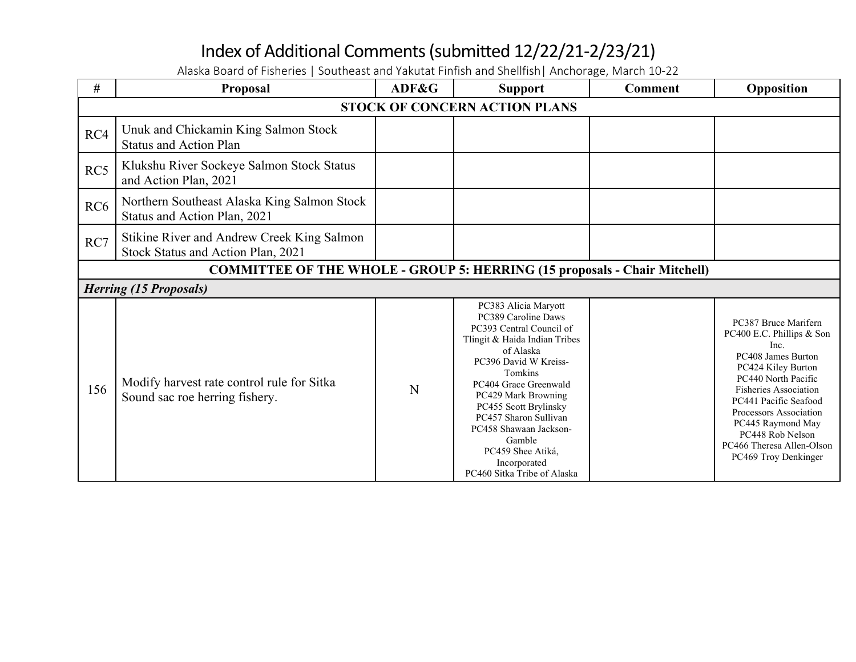**# Proposal ADF&G Support Comment Opposition STOCK OF CONCERN ACTION PLANS** RC4 Unuk and Chickamin King Salmon Stock Status and Action Plan RC5 | Klukshu River Sockeye Salmon Stock Status and Action Plan, 2021 RC6 Northern Southeast Alaska King Salmon Stock Status and Action Plan, 2021  $RC7$  Stikine River and Andrew Creek King Salmon Stock Status and Action Plan, 2021 **COMMITTEE OF THE WHOLE - GROUP 5: HERRING (15 proposals - Chair Mitchell)** *Herring (15 Proposals)* 156 Modify harvest rate control rule for Sitka Sound sac roe herring fishery. PC383 Alicia Maryott PC389 Caroline Daws PC393 Central Council of Tlingit & Haida Indian Tribes of Alaska PC396 David W Kreiss-Tomkins PC404 Grace Greenwald PC429 Mark Browning PC455 Scott Brylinsky PC457 Sharon Sullivan PC458 Shawaan Jackson-Gamble PC459 Shee Atiká, Incorporated PC460 Sitka Tribe of Alaska PC387 Bruce Marifern PC400 E.C. Phillips & Son Inc. PC408 James Burton PC424 Kiley Burton PC440 North Pacific Fisheries Association PC441 Pacific Seafood Processors Association PC445 Raymond May PC448 Rob Nelson PC466 Theresa Allen-Olson PC469 Troy Denkinger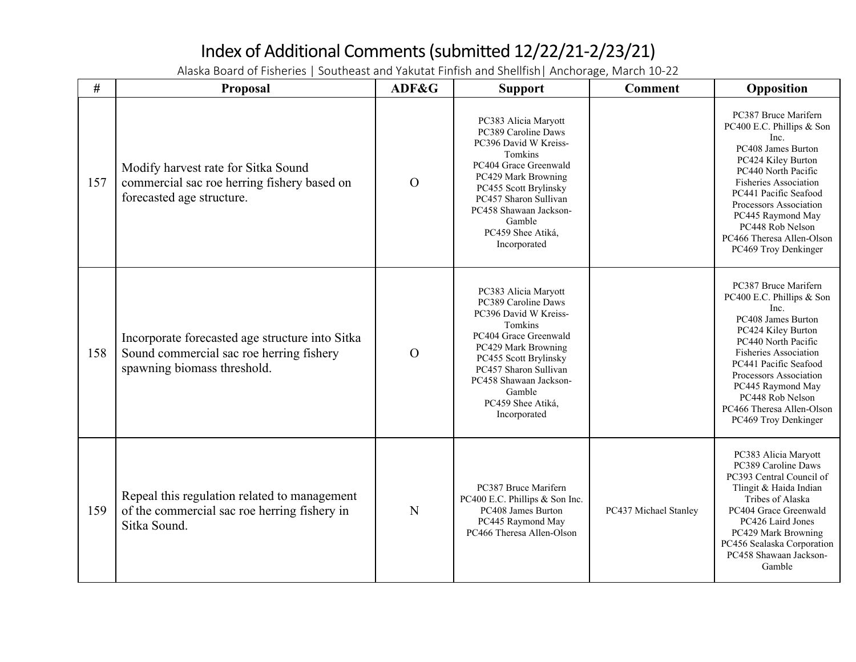| #   | Proposal                                                                                                                   | ADF&G          | <b>Support</b>                                                                                                                                                                                                                                             | <b>Comment</b>        | Opposition                                                                                                                                                                                                                                                                                                    |
|-----|----------------------------------------------------------------------------------------------------------------------------|----------------|------------------------------------------------------------------------------------------------------------------------------------------------------------------------------------------------------------------------------------------------------------|-----------------------|---------------------------------------------------------------------------------------------------------------------------------------------------------------------------------------------------------------------------------------------------------------------------------------------------------------|
| 157 | Modify harvest rate for Sitka Sound<br>commercial sac roe herring fishery based on<br>forecasted age structure.            | $\overline{O}$ | PC383 Alicia Maryott<br>PC389 Caroline Daws<br>PC396 David W Kreiss-<br>Tomkins<br>PC404 Grace Greenwald<br>PC429 Mark Browning<br>PC455 Scott Brylinsky<br>PC457 Sharon Sullivan<br>PC458 Shawaan Jackson-<br>Gamble<br>PC459 Shee Atiká,<br>Incorporated |                       | PC387 Bruce Marifern<br>PC400 E.C. Phillips & Son<br>Inc.<br>PC408 James Burton<br>PC424 Kiley Burton<br>PC440 North Pacific<br><b>Fisheries Association</b><br>PC441 Pacific Seafood<br>Processors Association<br>PC445 Raymond May<br>PC448 Rob Nelson<br>PC466 Theresa Allen-Olson<br>PC469 Troy Denkinger |
| 158 | Incorporate forecasted age structure into Sitka<br>Sound commercial sac roe herring fishery<br>spawning biomass threshold. | $\overline{O}$ | PC383 Alicia Maryott<br>PC389 Caroline Daws<br>PC396 David W Kreiss-<br>Tomkins<br>PC404 Grace Greenwald<br>PC429 Mark Browning<br>PC455 Scott Brylinsky<br>PC457 Sharon Sullivan<br>PC458 Shawaan Jackson-<br>Gamble<br>PC459 Shee Atiká,<br>Incorporated |                       | PC387 Bruce Marifern<br>PC400 E.C. Phillips & Son<br>Inc.<br>PC408 James Burton<br>PC424 Kiley Burton<br>PC440 North Pacific<br><b>Fisheries Association</b><br>PC441 Pacific Seafood<br>Processors Association<br>PC445 Raymond May<br>PC448 Rob Nelson<br>PC466 Theresa Allen-Olson<br>PC469 Troy Denkinger |
| 159 | Repeal this regulation related to management<br>of the commercial sac roe herring fishery in<br>Sitka Sound.               | N              | PC387 Bruce Marifern<br>PC400 E.C. Phillips & Son Inc.<br>PC408 James Burton<br>PC445 Raymond May<br>PC466 Theresa Allen-Olson                                                                                                                             | PC437 Michael Stanley | PC383 Alicia Maryott<br>PC389 Caroline Daws<br>PC393 Central Council of<br>Tlingit & Haida Indian<br>Tribes of Alaska<br>PC404 Grace Greenwald<br>PC426 Laird Jones<br>PC429 Mark Browning<br>PC456 Sealaska Corporation<br>PC458 Shawaan Jackson-<br>Gamble                                                  |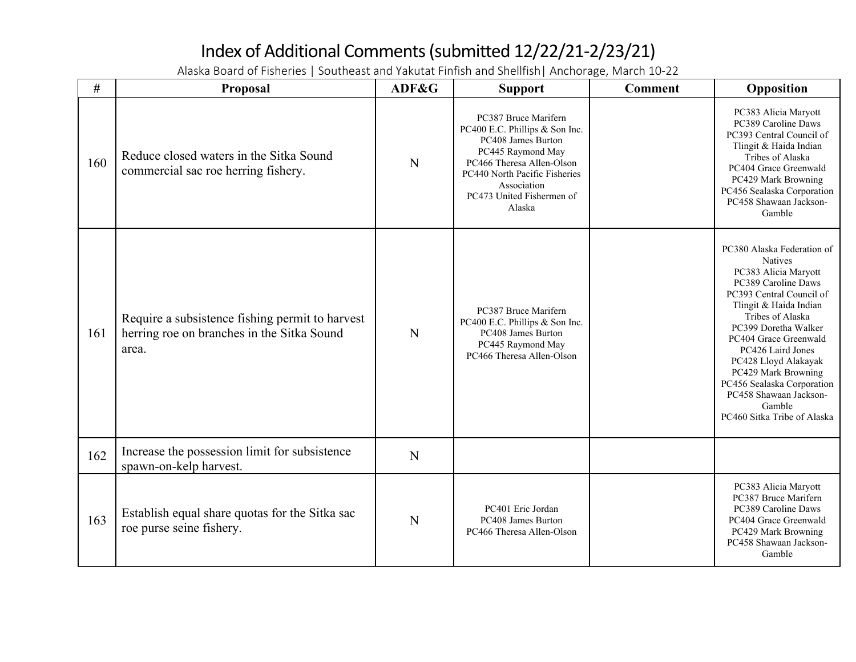| #   | Proposal                                                                                               | ADF&G | <b>Support</b>                                                                                                                                                                                                        | <b>Comment</b> | Opposition                                                                                                                                                                                                                                                                                                                                                                                  |
|-----|--------------------------------------------------------------------------------------------------------|-------|-----------------------------------------------------------------------------------------------------------------------------------------------------------------------------------------------------------------------|----------------|---------------------------------------------------------------------------------------------------------------------------------------------------------------------------------------------------------------------------------------------------------------------------------------------------------------------------------------------------------------------------------------------|
| 160 | Reduce closed waters in the Sitka Sound<br>commercial sac roe herring fishery.                         | N     | PC387 Bruce Marifern<br>PC400 E.C. Phillips & Son Inc.<br>PC408 James Burton<br>PC445 Raymond May<br>PC466 Theresa Allen-Olson<br>PC440 North Pacific Fisheries<br>Association<br>PC473 United Fishermen of<br>Alaska |                | PC383 Alicia Maryott<br>PC389 Caroline Daws<br>PC393 Central Council of<br>Tlingit & Haida Indian<br>Tribes of Alaska<br>PC404 Grace Greenwald<br>PC429 Mark Browning<br>PC456 Sealaska Corporation<br>PC458 Shawaan Jackson-<br>Gamble                                                                                                                                                     |
| 161 | Require a subsistence fishing permit to harvest<br>herring roe on branches in the Sitka Sound<br>area. | N     | PC387 Bruce Marifern<br>PC400 E.C. Phillips & Son Inc.<br>PC408 James Burton<br>PC445 Raymond May<br>PC466 Theresa Allen-Olson                                                                                        |                | PC380 Alaska Federation of<br><b>Natives</b><br>PC383 Alicia Maryott<br>PC389 Caroline Daws<br>PC393 Central Council of<br>Tlingit & Haida Indian<br>Tribes of Alaska<br>PC399 Doretha Walker<br>PC404 Grace Greenwald<br>PC426 Laird Jones<br>PC428 Lloyd Alakayak<br>PC429 Mark Browning<br>PC456 Sealaska Corporation<br>PC458 Shawaan Jackson-<br>Gamble<br>PC460 Sitka Tribe of Alaska |
| 162 | Increase the possession limit for subsistence<br>spawn-on-kelp harvest.                                | N     |                                                                                                                                                                                                                       |                |                                                                                                                                                                                                                                                                                                                                                                                             |
| 163 | Establish equal share quotas for the Sitka sac<br>roe purse seine fishery.                             | N     | PC401 Eric Jordan<br>PC408 James Burton<br>PC466 Theresa Allen-Olson                                                                                                                                                  |                | PC383 Alicia Maryott<br>PC387 Bruce Marifern<br>PC389 Caroline Daws<br>PC404 Grace Greenwald<br>PC429 Mark Browning<br>PC458 Shawaan Jackson-<br>Gamble                                                                                                                                                                                                                                     |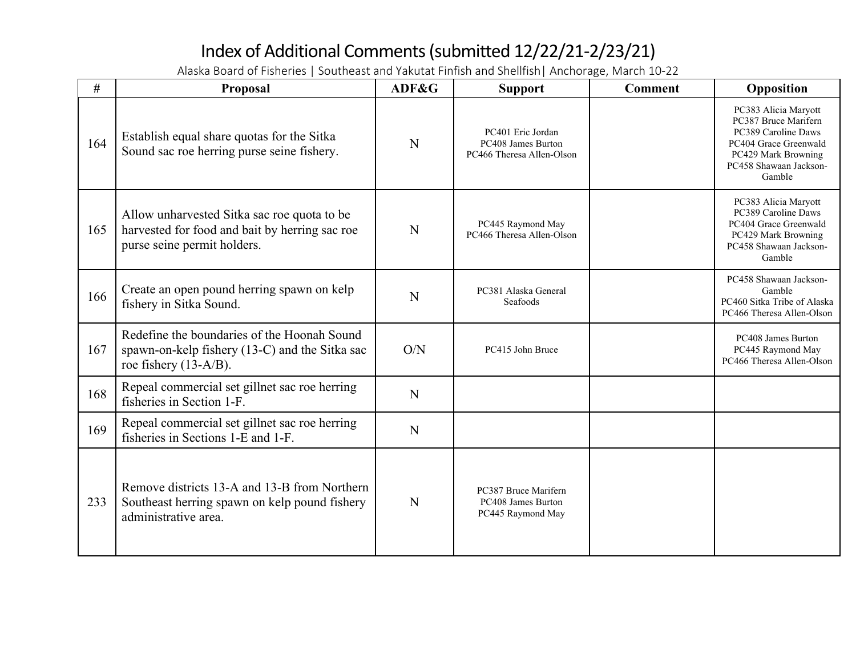| #   | Proposal                                                                                                                     | ADF&G | <b>Support</b>                                                       | <b>Comment</b> | Opposition                                                                                                                                              |
|-----|------------------------------------------------------------------------------------------------------------------------------|-------|----------------------------------------------------------------------|----------------|---------------------------------------------------------------------------------------------------------------------------------------------------------|
| 164 | Establish equal share quotas for the Sitka<br>Sound sac roe herring purse seine fishery.                                     | N     | PC401 Eric Jordan<br>PC408 James Burton<br>PC466 Theresa Allen-Olson |                | PC383 Alicia Maryott<br>PC387 Bruce Marifern<br>PC389 Caroline Daws<br>PC404 Grace Greenwald<br>PC429 Mark Browning<br>PC458 Shawaan Jackson-<br>Gamble |
| 165 | Allow unharvested Sitka sac roe quota to be<br>harvested for food and bait by herring sac roe<br>purse seine permit holders. | N     | PC445 Raymond May<br>PC466 Theresa Allen-Olson                       |                | PC383 Alicia Maryott<br>PC389 Caroline Daws<br>PC404 Grace Greenwald<br>PC429 Mark Browning<br>PC458 Shawaan Jackson-<br>Gamble                         |
| 166 | Create an open pound herring spawn on kelp<br>fishery in Sitka Sound.                                                        | N     | PC381 Alaska General<br>Seafoods                                     |                | PC458 Shawaan Jackson-<br>Gamble<br>PC460 Sitka Tribe of Alaska<br>PC466 Theresa Allen-Olson                                                            |
| 167 | Redefine the boundaries of the Hoonah Sound<br>spawn-on-kelp fishery (13-C) and the Sitka sac<br>roe fishery $(13-A/B)$ .    | O/N   | PC415 John Bruce                                                     |                | PC408 James Burton<br>PC445 Raymond May<br>PC466 Theresa Allen-Olson                                                                                    |
| 168 | Repeal commercial set gillnet sac roe herring<br>fisheries in Section 1-F.                                                   | N     |                                                                      |                |                                                                                                                                                         |
| 169 | Repeal commercial set gillnet sac roe herring<br>fisheries in Sections 1-E and 1-F.                                          | N     |                                                                      |                |                                                                                                                                                         |
| 233 | Remove districts 13-A and 13-B from Northern<br>Southeast herring spawn on kelp pound fishery<br>administrative area.        | N     | PC387 Bruce Marifern<br>PC408 James Burton<br>PC445 Raymond May      |                |                                                                                                                                                         |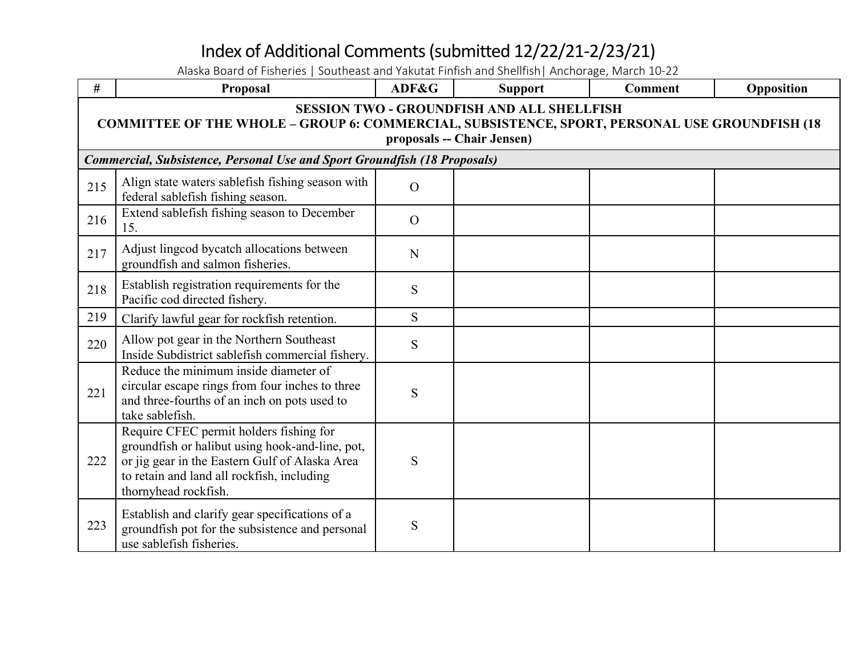| $\#$ | Proposal                                                                                                                                                                                                           | ADF&G          | <b>Support</b> | <b>Comment</b> | Opposition |  |  |
|------|--------------------------------------------------------------------------------------------------------------------------------------------------------------------------------------------------------------------|----------------|----------------|----------------|------------|--|--|
|      | <b>SESSION TWO - GROUNDFISH AND ALL SHELLFISH</b><br><b>COMMITTEE OF THE WHOLE - GROUP 6: COMMERCIAL, SUBSISTENCE, SPORT, PERSONAL USE GROUNDFISH (18</b><br>proposals -- Chair Jensen)                            |                |                |                |            |  |  |
|      | Commercial, Subsistence, Personal Use and Sport Groundfish (18 Proposals)                                                                                                                                          |                |                |                |            |  |  |
| 215  | Align state waters sablefish fishing season with<br>federal sablefish fishing season.                                                                                                                              | $\overline{O}$ |                |                |            |  |  |
| 216  | Extend sablefish fishing season to December<br>15.                                                                                                                                                                 | $\overline{O}$ |                |                |            |  |  |
| 217  | Adjust lingcod bycatch allocations between<br>groundfish and salmon fisheries.                                                                                                                                     | N              |                |                |            |  |  |
| 218  | Establish registration requirements for the<br>Pacific cod directed fishery.                                                                                                                                       | S              |                |                |            |  |  |
| 219  | Clarify lawful gear for rockfish retention.                                                                                                                                                                        | S.             |                |                |            |  |  |
| 220  | Allow pot gear in the Northern Southeast<br>Inside Subdistrict sablefish commercial fishery.                                                                                                                       | S              |                |                |            |  |  |
| 221  | Reduce the minimum inside diameter of<br>circular escape rings from four inches to three<br>and three-fourths of an inch on pots used to<br>take sablefish.                                                        | S              |                |                |            |  |  |
| 222  | Require CFEC permit holders fishing for<br>groundfish or halibut using hook-and-line, pot,<br>or jig gear in the Eastern Gulf of Alaska Area<br>to retain and land all rockfish, including<br>thornyhead rockfish. | S              |                |                |            |  |  |
| 223  | Establish and clarify gear specifications of a<br>groundfish pot for the subsistence and personal<br>use sablefish fisheries.                                                                                      | S              |                |                |            |  |  |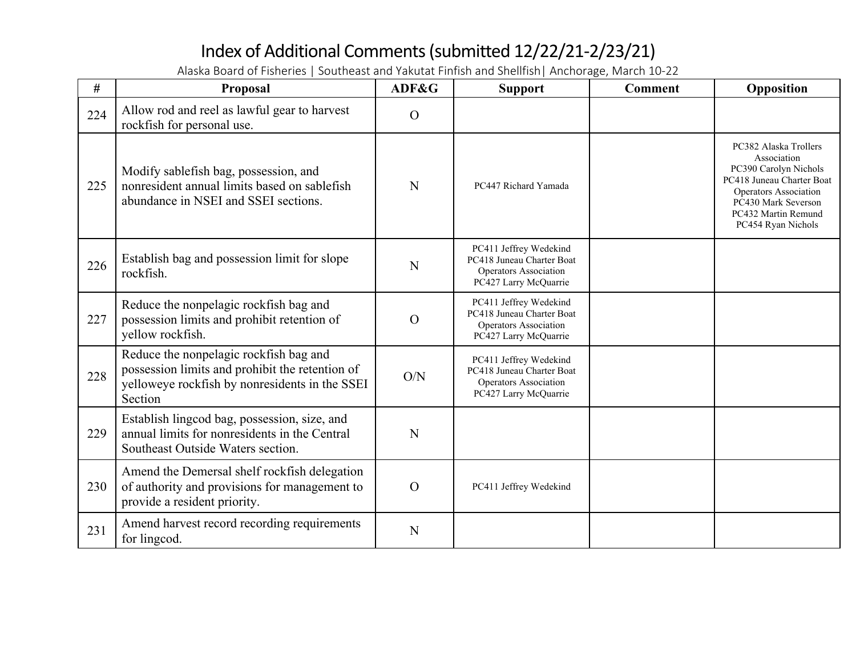| #   | Proposal                                                                                                                                               | ADF&G          | <b>Support</b>                                                                                        | <b>Comment</b> | Opposition                                                                                                                                                                              |
|-----|--------------------------------------------------------------------------------------------------------------------------------------------------------|----------------|-------------------------------------------------------------------------------------------------------|----------------|-----------------------------------------------------------------------------------------------------------------------------------------------------------------------------------------|
| 224 | Allow rod and reel as lawful gear to harvest<br>rockfish for personal use.                                                                             | $\overline{O}$ |                                                                                                       |                |                                                                                                                                                                                         |
| 225 | Modify sablefish bag, possession, and<br>nonresident annual limits based on sablefish<br>abundance in NSEI and SSEI sections.                          | N              | PC447 Richard Yamada                                                                                  |                | PC382 Alaska Trollers<br>Association<br>PC390 Carolyn Nichols<br>PC418 Juneau Charter Boat<br>Operators Association<br>PC430 Mark Severson<br>PC432 Martin Remund<br>PC454 Ryan Nichols |
| 226 | Establish bag and possession limit for slope<br>rockfish.                                                                                              | N              | PC411 Jeffrey Wedekind<br>PC418 Juneau Charter Boat<br>Operators Association<br>PC427 Larry McQuarrie |                |                                                                                                                                                                                         |
| 227 | Reduce the nonpelagic rockfish bag and<br>possession limits and prohibit retention of<br>yellow rockfish.                                              | $\overline{O}$ | PC411 Jeffrey Wedekind<br>PC418 Juneau Charter Boat<br>Operators Association<br>PC427 Larry McQuarrie |                |                                                                                                                                                                                         |
| 228 | Reduce the nonpelagic rockfish bag and<br>possession limits and prohibit the retention of<br>yelloweye rockfish by nonresidents in the SSEI<br>Section | O/N            | PC411 Jeffrey Wedekind<br>PC418 Juneau Charter Boat<br>Operators Association<br>PC427 Larry McQuarrie |                |                                                                                                                                                                                         |
| 229 | Establish lingcod bag, possession, size, and<br>annual limits for nonresidents in the Central<br>Southeast Outside Waters section.                     | N              |                                                                                                       |                |                                                                                                                                                                                         |
| 230 | Amend the Demersal shelf rockfish delegation<br>of authority and provisions for management to<br>provide a resident priority.                          | $\mathbf O$    | PC411 Jeffrey Wedekind                                                                                |                |                                                                                                                                                                                         |
| 231 | Amend harvest record recording requirements<br>for lingcod.                                                                                            | N              |                                                                                                       |                |                                                                                                                                                                                         |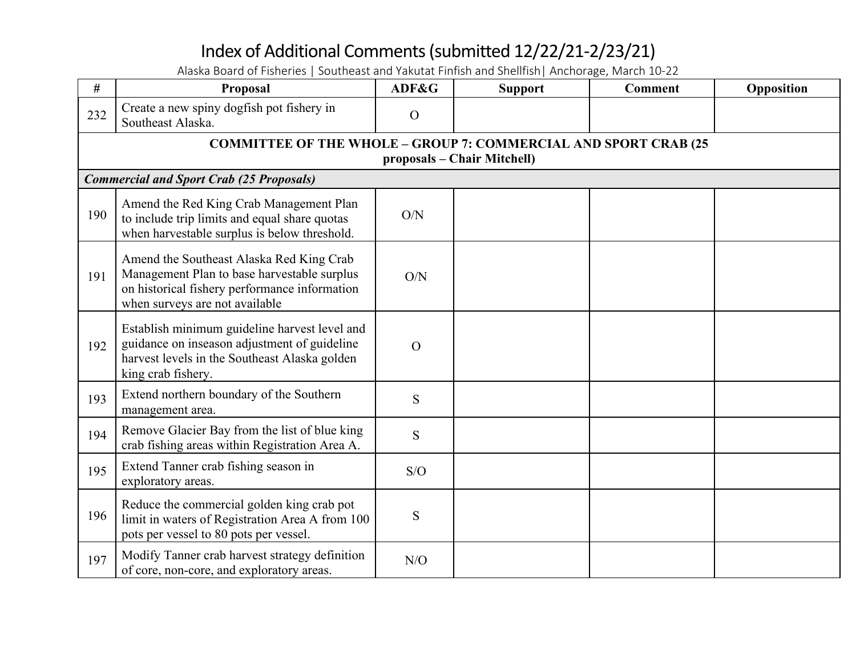| #   | Proposal                                                                                                                                                                   | ADF&G          | <b>Support</b> | <b>Comment</b> | Opposition |  |  |
|-----|----------------------------------------------------------------------------------------------------------------------------------------------------------------------------|----------------|----------------|----------------|------------|--|--|
| 232 | Create a new spiny dogfish pot fishery in<br>Southeast Alaska.                                                                                                             | $\mathcal{O}$  |                |                |            |  |  |
|     | <b>COMMITTEE OF THE WHOLE - GROUP 7: COMMERCIAL AND SPORT CRAB (25</b><br>proposals – Chair Mitchell)                                                                      |                |                |                |            |  |  |
|     | <b>Commercial and Sport Crab (25 Proposals)</b>                                                                                                                            |                |                |                |            |  |  |
| 190 | Amend the Red King Crab Management Plan<br>to include trip limits and equal share quotas<br>when harvestable surplus is below threshold.                                   | O/N            |                |                |            |  |  |
| 191 | Amend the Southeast Alaska Red King Crab<br>Management Plan to base harvestable surplus<br>on historical fishery performance information<br>when surveys are not available | O/N            |                |                |            |  |  |
| 192 | Establish minimum guideline harvest level and<br>guidance on inseason adjustment of guideline<br>harvest levels in the Southeast Alaska golden<br>king crab fishery.       | $\overline{O}$ |                |                |            |  |  |
| 193 | Extend northern boundary of the Southern<br>management area.                                                                                                               | S              |                |                |            |  |  |
| 194 | Remove Glacier Bay from the list of blue king<br>crab fishing areas within Registration Area A.                                                                            | S              |                |                |            |  |  |
| 195 | Extend Tanner crab fishing season in<br>exploratory areas.                                                                                                                 | S/O            |                |                |            |  |  |
| 196 | Reduce the commercial golden king crab pot<br>limit in waters of Registration Area A from 100<br>pots per vessel to 80 pots per vessel.                                    | S              |                |                |            |  |  |
| 197 | Modify Tanner crab harvest strategy definition<br>of core, non-core, and exploratory areas.                                                                                | N/O            |                |                |            |  |  |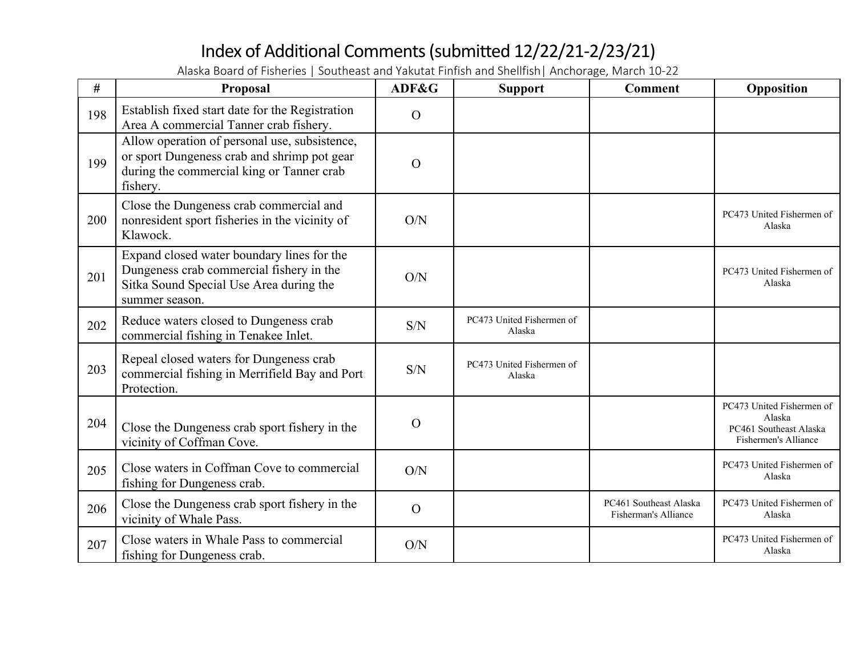| #   | Proposal                                                                                                                                              | ADF&G         | <b>Support</b>                      | <b>Comment</b>                                 | Opposition                                                                            |
|-----|-------------------------------------------------------------------------------------------------------------------------------------------------------|---------------|-------------------------------------|------------------------------------------------|---------------------------------------------------------------------------------------|
| 198 | Establish fixed start date for the Registration<br>Area A commercial Tanner crab fishery.                                                             | $\mathbf O$   |                                     |                                                |                                                                                       |
| 199 | Allow operation of personal use, subsistence,<br>or sport Dungeness crab and shrimp pot gear<br>during the commercial king or Tanner crab<br>fishery. | $\mathbf O$   |                                     |                                                |                                                                                       |
| 200 | Close the Dungeness crab commercial and<br>nonresident sport fisheries in the vicinity of<br>Klawock.                                                 | O/N           |                                     |                                                | PC473 United Fishermen of<br>Alaska                                                   |
| 201 | Expand closed water boundary lines for the<br>Dungeness crab commercial fishery in the<br>Sitka Sound Special Use Area during the<br>summer season.   | O/N           |                                     |                                                | PC473 United Fishermen of<br>Alaska                                                   |
| 202 | Reduce waters closed to Dungeness crab<br>commercial fishing in Tenakee Inlet.                                                                        | S/N           | PC473 United Fishermen of<br>Alaska |                                                |                                                                                       |
| 203 | Repeal closed waters for Dungeness crab<br>commercial fishing in Merrifield Bay and Port<br>Protection.                                               | S/N           | PC473 United Fishermen of<br>Alaska |                                                |                                                                                       |
| 204 | Close the Dungeness crab sport fishery in the<br>vicinity of Coffman Cove.                                                                            | $\mathcal{O}$ |                                     |                                                | PC473 United Fishermen of<br>Alaska<br>PC461 Southeast Alaska<br>Fishermen's Alliance |
| 205 | Close waters in Coffman Cove to commercial<br>fishing for Dungeness crab.                                                                             | O/N           |                                     |                                                | PC473 United Fishermen of<br>Alaska                                                   |
| 206 | Close the Dungeness crab sport fishery in the<br>vicinity of Whale Pass.                                                                              | $\mathcal{O}$ |                                     | PC461 Southeast Alaska<br>Fisherman's Alliance | PC473 United Fishermen of<br>Alaska                                                   |
| 207 | Close waters in Whale Pass to commercial<br>fishing for Dungeness crab.                                                                               | O/N           |                                     |                                                | PC473 United Fishermen of<br>Alaska                                                   |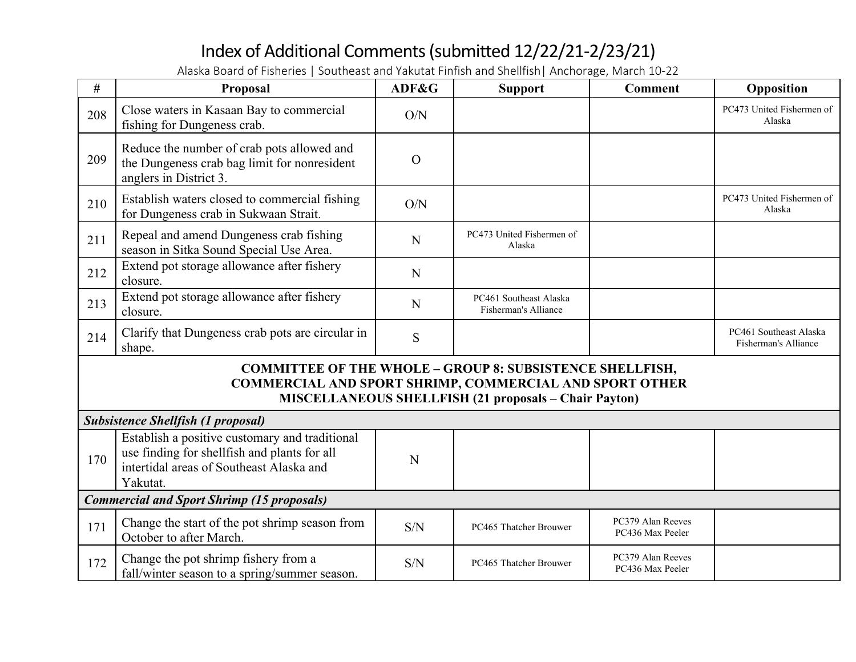| #                                                                                                                                                                                                 | <b>Proposal</b>                                                                                                                                        | ADF&G          | <b>Support</b>                                 | <b>Comment</b>                        | Opposition                                     |
|---------------------------------------------------------------------------------------------------------------------------------------------------------------------------------------------------|--------------------------------------------------------------------------------------------------------------------------------------------------------|----------------|------------------------------------------------|---------------------------------------|------------------------------------------------|
| 208                                                                                                                                                                                               | Close waters in Kasaan Bay to commercial<br>fishing for Dungeness crab.                                                                                | O/N            |                                                |                                       | PC473 United Fishermen of<br>Alaska            |
| 209                                                                                                                                                                                               | Reduce the number of crab pots allowed and<br>the Dungeness crab bag limit for nonresident<br>anglers in District 3.                                   | $\overline{O}$ |                                                |                                       |                                                |
| 210                                                                                                                                                                                               | Establish waters closed to commercial fishing<br>for Dungeness crab in Sukwaan Strait.                                                                 | O/N            |                                                |                                       | PC473 United Fishermen of<br>Alaska            |
| 211                                                                                                                                                                                               | Repeal and amend Dungeness crab fishing<br>season in Sitka Sound Special Use Area.                                                                     | N              | PC473 United Fishermen of<br>Alaska            |                                       |                                                |
| 212                                                                                                                                                                                               | Extend pot storage allowance after fishery<br>closure.                                                                                                 | N              |                                                |                                       |                                                |
| 213                                                                                                                                                                                               | Extend pot storage allowance after fishery<br>closure.                                                                                                 | $\mathbf N$    | PC461 Southeast Alaska<br>Fisherman's Alliance |                                       |                                                |
| 214                                                                                                                                                                                               | Clarify that Dungeness crab pots are circular in<br>shape.                                                                                             | S              |                                                |                                       | PC461 Southeast Alaska<br>Fisherman's Alliance |
| <b>COMMITTEE OF THE WHOLE - GROUP 8: SUBSISTENCE SHELLFISH,</b><br><b>COMMERCIAL AND SPORT SHRIMP, COMMERCIAL AND SPORT OTHER</b><br><b>MISCELLANEOUS SHELLFISH (21 proposals - Chair Payton)</b> |                                                                                                                                                        |                |                                                |                                       |                                                |
|                                                                                                                                                                                                   | <b>Subsistence Shellfish (1 proposal)</b>                                                                                                              |                |                                                |                                       |                                                |
| 170                                                                                                                                                                                               | Establish a positive customary and traditional<br>use finding for shellfish and plants for all<br>intertidal areas of Southeast Alaska and<br>Yakutat. | N              |                                                |                                       |                                                |
|                                                                                                                                                                                                   | <b>Commercial and Sport Shrimp (15 proposals)</b>                                                                                                      |                |                                                |                                       |                                                |
| 171                                                                                                                                                                                               | Change the start of the pot shrimp season from<br>October to after March.                                                                              | S/N            | PC465 Thatcher Brouwer                         | PC379 Alan Reeves<br>PC436 Max Peeler |                                                |
| 172                                                                                                                                                                                               | Change the pot shrimp fishery from a<br>fall/winter season to a spring/summer season.                                                                  | S/N            | PC465 Thatcher Brouwer                         | PC379 Alan Reeves<br>PC436 Max Peeler |                                                |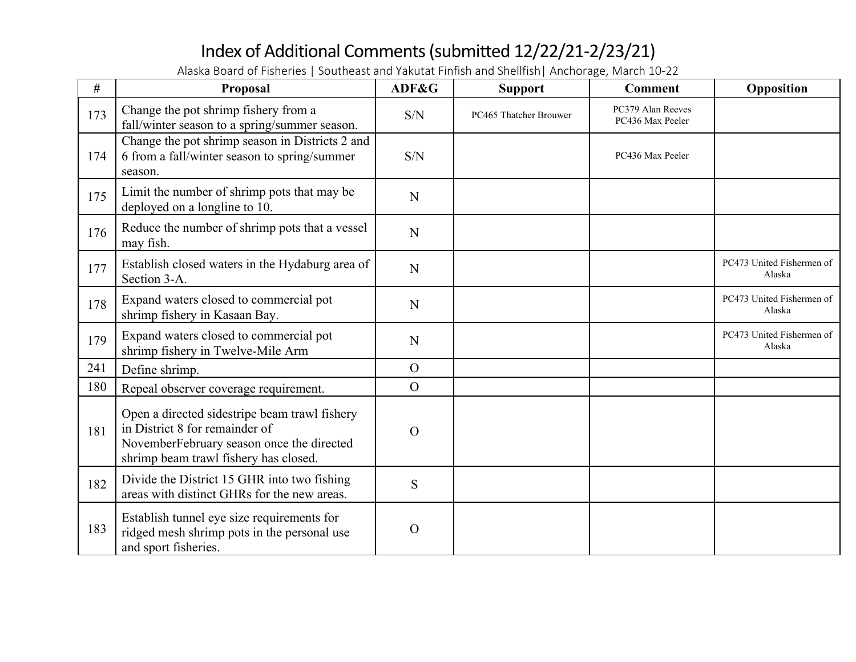| #   | Proposal                                                                                                                                                              | ADF&G          | <b>Support</b>         | <b>Comment</b>                        | Opposition                          |
|-----|-----------------------------------------------------------------------------------------------------------------------------------------------------------------------|----------------|------------------------|---------------------------------------|-------------------------------------|
| 173 | Change the pot shrimp fishery from a<br>fall/winter season to a spring/summer season.                                                                                 | S/N            | PC465 Thatcher Brouwer | PC379 Alan Reeves<br>PC436 Max Peeler |                                     |
| 174 | Change the pot shrimp season in Districts 2 and<br>6 from a fall/winter season to spring/summer<br>season.                                                            | S/N            |                        | PC436 Max Peeler                      |                                     |
| 175 | Limit the number of shrimp pots that may be<br>deployed on a longline to 10.                                                                                          | $\mathbf N$    |                        |                                       |                                     |
| 176 | Reduce the number of shrimp pots that a vessel<br>may fish.                                                                                                           | $\mathbf N$    |                        |                                       |                                     |
| 177 | Establish closed waters in the Hydaburg area of<br>Section 3-A.                                                                                                       | $\mathbf N$    |                        |                                       | PC473 United Fishermen of<br>Alaska |
| 178 | Expand waters closed to commercial pot<br>shrimp fishery in Kasaan Bay.                                                                                               | N              |                        |                                       | PC473 United Fishermen of<br>Alaska |
| 179 | Expand waters closed to commercial pot<br>shrimp fishery in Twelve-Mile Arm                                                                                           | N              |                        |                                       | PC473 United Fishermen of<br>Alaska |
| 241 | Define shrimp.                                                                                                                                                        | $\Omega$       |                        |                                       |                                     |
| 180 | Repeal observer coverage requirement.                                                                                                                                 | $\overline{O}$ |                        |                                       |                                     |
| 181 | Open a directed sidestripe beam trawl fishery<br>in District 8 for remainder of<br>NovemberFebruary season once the directed<br>shrimp beam trawl fishery has closed. | $\Omega$       |                        |                                       |                                     |
| 182 | Divide the District 15 GHR into two fishing<br>areas with distinct GHRs for the new areas.                                                                            | S              |                        |                                       |                                     |
| 183 | Establish tunnel eye size requirements for<br>ridged mesh shrimp pots in the personal use<br>and sport fisheries.                                                     | $\Omega$       |                        |                                       |                                     |